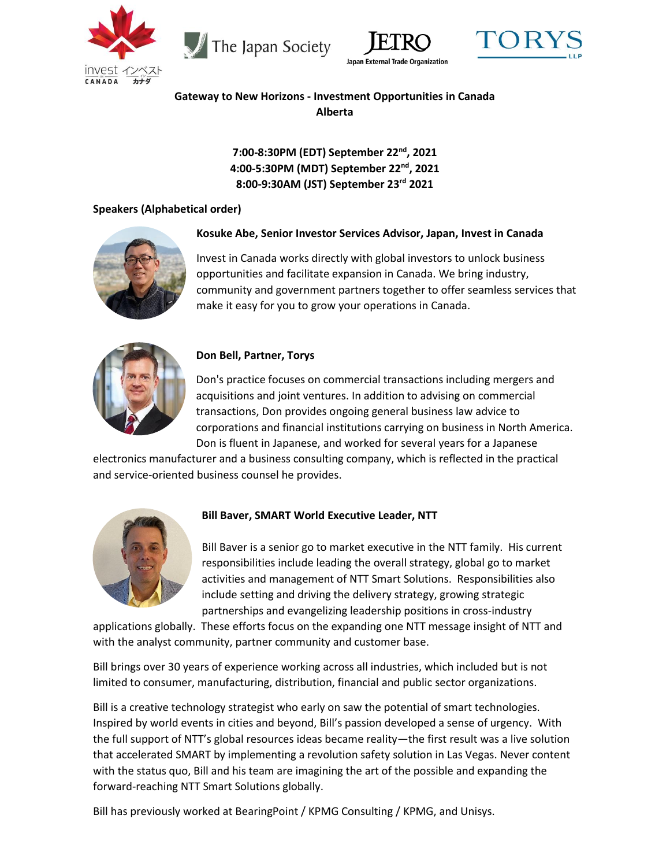







# **Gateway to New Horizons - Investment Opportunities in Canada Alberta**

**7:00-8:30PM (EDT) September 22nd, 2021 4:00-5:30PM (MDT) September 22nd, 2021 8:00-9:30AM (JST) September 23rd 2021**

### **Speakers (Alphabetical order)**



### **Kosuke Abe, Senior Investor Services Advisor, Japan, Invest in Canada**

Invest in Canada works directly with global investors to unlock business opportunities and facilitate expansion in Canada. We bring industry, community and government partners together to offer seamless services that make it easy for you to grow your operations in Canada.



### **Don Bell, Partner, Torys**

Don's practice focuses on commercial transactions including mergers and acquisitions and joint ventures. In addition to advising on commercial transactions, Don provides ongoing general business law advice to corporations and financial institutions carrying on business in North America. Don is fluent in Japanese, and worked for several years for a Japanese

electronics manufacturer and a business consulting company, which is reflected in the practical and service-oriented business counsel he provides.



### **Bill Baver, SMART World Executive Leader, NTT**

Bill Baver is a senior go to market executive in the NTT family. His current responsibilities include leading the overall strategy, global go to market activities and management of NTT Smart Solutions. Responsibilities also include setting and driving the delivery strategy, growing strategic partnerships and evangelizing leadership positions in cross-industry

applications globally. These efforts focus on the expanding one NTT message insight of NTT and with the analyst community, partner community and customer base.

Bill brings over 30 years of experience working across all industries, which included but is not limited to consumer, manufacturing, distribution, financial and public sector organizations.

Bill is a creative technology strategist who early on saw the potential of smart technologies. Inspired by world events in cities and beyond, Bill's passion developed a sense of urgency. With the full support of NTT's global resources ideas became reality—the first result was a live solution that accelerated SMART by implementing a revolution safety solution in Las Vegas. Never content with the status quo, Bill and his team are imagining the art of the possible and expanding the forward-reaching NTT Smart Solutions globally.

Bill has previously worked at BearingPoint / KPMG Consulting / KPMG, and Unisys.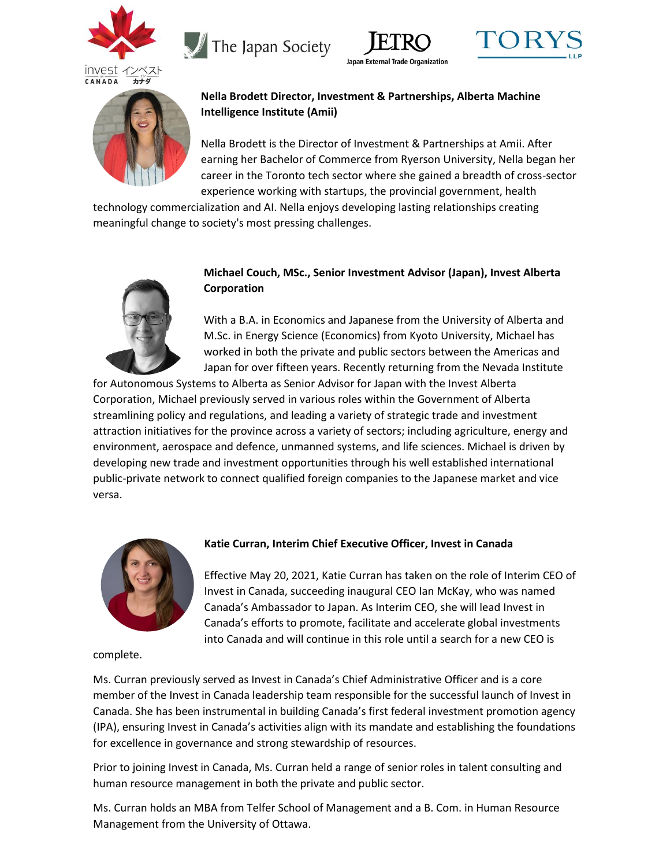









## **Nella Brodett Director, Investment & Partnerships, Alberta Machine Intelligence Institute (Amii)**

Nella Brodett is the Director of Investment & Partnerships at Amii. After earning her Bachelor of Commerce from Ryerson University, Nella began her career in the Toronto tech sector where she gained a breadth of cross-sector experience working with startups, the provincial government, health

technology commercialization and AI. Nella enjoys developing lasting relationships creating meaningful change to society's most pressing challenges.



## **Michael Couch, MSc., Senior Investment Advisor (Japan), Invest Alberta Corporation**

With a B.A. in Economics and Japanese from the University of Alberta and M.Sc. in Energy Science (Economics) from Kyoto University, Michael has worked in both the private and public sectors between the Americas and Japan for over fifteen years. Recently returning from the Nevada Institute

for Autonomous Systems to Alberta as Senior Advisor for Japan with the Invest Alberta Corporation, Michael previously served in various roles within the Government of Alberta streamlining policy and regulations, and leading a variety of strategic trade and investment attraction initiatives for the province across a variety of sectors; including agriculture, energy and environment, aerospace and defence, unmanned systems, and life sciences. Michael is driven by developing new trade and investment opportunities through his well established international public-private network to connect qualified foreign companies to the Japanese market and vice versa.



complete.

### **Katie Curran, Interim Chief Executive Officer, Invest in Canada**

Effective May 20, 2021, Katie Curran has taken on the role of Interim CEO of Invest in Canada, succeeding inaugural CEO Ian McKay, who was named Canada's Ambassador to Japan. As Interim CEO, she will lead Invest in Canada's efforts to promote, facilitate and accelerate global investments into Canada and will continue in this role until a search for a new CEO is

Ms. Curran previously served as Invest in Canada's Chief Administrative Officer and is a core member of the Invest in Canada leadership team responsible for the successful launch of Invest in Canada. She has been instrumental in building Canada's first federal investment promotion agency (IPA), ensuring Invest in Canada's activities align with its mandate and establishing the foundations for excellence in governance and strong stewardship of resources.

Prior to joining Invest in Canada, Ms. Curran held a range of senior roles in talent consulting and human resource management in both the private and public sector.

Ms. Curran holds an MBA from Telfer School of Management and a B. Com. in Human Resource Management from the University of Ottawa.